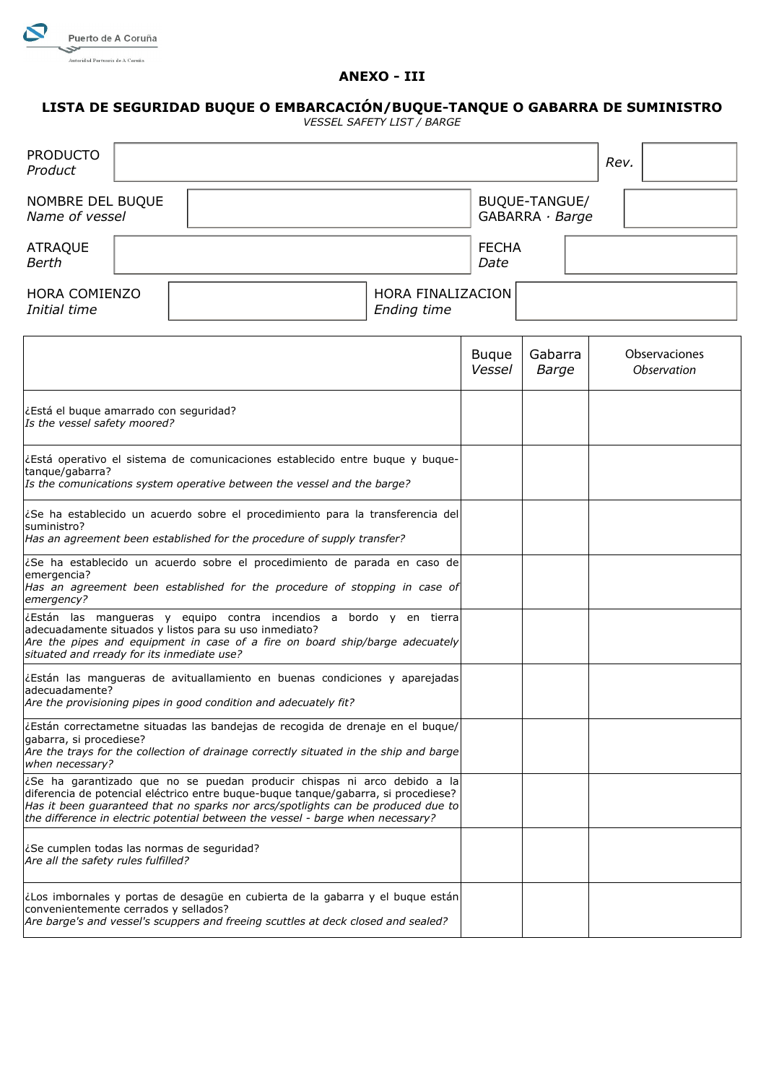

## **ANEXO - III**

## **LISTA DE SEGURIDAD BUQUE O EMBARCACIÓN/BUQUE-TANQUE O GABARRA DE SUMINISTRO**

*VESSEL SAFETY LIST / BARGE*

| <b>PRODUCTO</b><br>Product                                                                                                                                                                                                                                 |                   |  |                                                                                                                                                                                                                                                                                                                                       |  |                        |                                        |  | Rev. |             |               |  |
|------------------------------------------------------------------------------------------------------------------------------------------------------------------------------------------------------------------------------------------------------------|-------------------|--|---------------------------------------------------------------------------------------------------------------------------------------------------------------------------------------------------------------------------------------------------------------------------------------------------------------------------------------|--|------------------------|----------------------------------------|--|------|-------------|---------------|--|
| NOMBRE DEL BUQUE<br>Name of vessel                                                                                                                                                                                                                         |                   |  |                                                                                                                                                                                                                                                                                                                                       |  |                        | BUQUE-TANGUE/<br>$GABARRA \cdot Barge$ |  |      |             |               |  |
| <b>ATRAQUE</b><br>Berth                                                                                                                                                                                                                                    |                   |  |                                                                                                                                                                                                                                                                                                                                       |  | <b>FECHA</b><br>Date   |                                        |  |      |             |               |  |
| <b>HORA COMIENZO</b><br>Initial time                                                                                                                                                                                                                       | HORA FINALIZACION |  |                                                                                                                                                                                                                                                                                                                                       |  |                        |                                        |  |      |             |               |  |
|                                                                                                                                                                                                                                                            |                   |  |                                                                                                                                                                                                                                                                                                                                       |  | <b>Buque</b><br>Vessel | Gabarra<br>Barge                       |  |      | Observation | Observaciones |  |
| ¿Está el buque amarrado con seguridad?<br>Is the vessel safety moored?                                                                                                                                                                                     |                   |  |                                                                                                                                                                                                                                                                                                                                       |  |                        |                                        |  |      |             |               |  |
| ¿Está operativo el sistema de comunicaciones establecido entre buque y buque-<br>tangue/gabarra?<br>Is the comunications system operative between the vessel and the barge?                                                                                |                   |  |                                                                                                                                                                                                                                                                                                                                       |  |                        |                                        |  |      |             |               |  |
| ¿Se ha establecido un acuerdo sobre el procedimiento para la transferencia del<br>suministro?<br>Has an agreement been established for the procedure of supply transfer?                                                                                   |                   |  |                                                                                                                                                                                                                                                                                                                                       |  |                        |                                        |  |      |             |               |  |
| ¿Se ha establecido un acuerdo sobre el procedimiento de parada en caso de<br>emergencia?<br>Has an agreement been established for the procedure of stopping in case of<br>emergency?                                                                       |                   |  |                                                                                                                                                                                                                                                                                                                                       |  |                        |                                        |  |      |             |               |  |
| ¿Están las mangueras y equipo contra incendios a bordo y en tierra<br>adecuadamente situados y listos para su uso inmediato?<br>Are the pipes and equipment in case of a fire on board ship/barge adecuately<br>situated and rready for its inmediate use? |                   |  |                                                                                                                                                                                                                                                                                                                                       |  |                        |                                        |  |      |             |               |  |
| adecuadamente?<br>Are the provisioning pipes in good condition and adecuately fit?                                                                                                                                                                         |                   |  | ¿Están las mangueras de avituallamiento en buenas condiciones y aparejadas                                                                                                                                                                                                                                                            |  |                        |                                        |  |      |             |               |  |
| gabarra, si procediese?<br>when necessary?                                                                                                                                                                                                                 |                   |  | ¿Están correctametne situadas las bandejas de recogida de drenaje en el bugue/<br>Are the trays for the collection of drainage correctly situated in the ship and barge                                                                                                                                                               |  |                        |                                        |  |      |             |               |  |
|                                                                                                                                                                                                                                                            |                   |  | ¿Se ha garantizado que no se puedan producir chispas ni arco debido a la<br>diferencia de potencial eléctrico entre buque-buque tanque/gabarra, si procediese?<br>Has it been guaranteed that no sparks nor arcs/spotlights can be produced due to<br>the difference in electric potential between the vessel - barge when necessary? |  |                        |                                        |  |      |             |               |  |
| ¿Se cumplen todas las normas de seguridad?<br>Are all the safety rules fulfilled?                                                                                                                                                                          |                   |  |                                                                                                                                                                                                                                                                                                                                       |  |                        |                                        |  |      |             |               |  |
| ¿Los imbornales y portas de desagüe en cubierta de la gabarra y el buque están<br>convenientemente cerrados y sellados?<br>Are barge's and vessel's scuppers and freeing scuttles at deck closed and sealed?                                               |                   |  |                                                                                                                                                                                                                                                                                                                                       |  |                        |                                        |  |      |             |               |  |